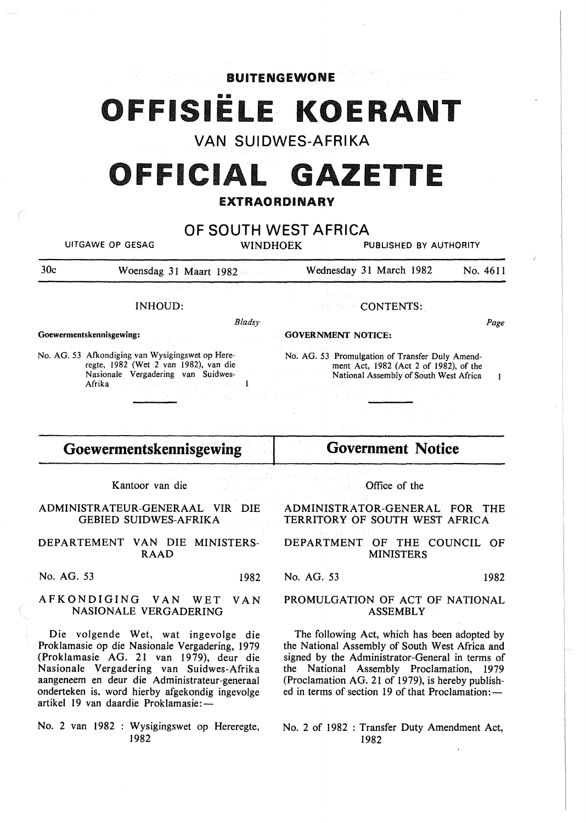OFFISIËLE KOERANT

BUITENGEWONE

**VAN SUIDWES-AFRIKA** 

# OFFICIAL GAZETTE

# EXTRAORDINARY

# **OF SOUTH WEST AFRICA**

UITGAWE OP GESAG WINDHOEK PUBLISHED BY AUTHORITY

30c Woensdag 31 Maart 1982 Wednesday 31 March 1982 No. 4611

*Bladsy* 

INHOUD:

Goewermentskennisgewing:

No. AG. 53 Afkondiging van Wysigingswet op Hereregte, 1982 (Wet 2 van 1982), van die Nasionale Vergadering van Suidwes-Afrika  $\overline{1}$  CONTENTS:.

GOVERNMENT NOTICE:

Page

 $\mathbf{1}$ 

No. AG. 53 Promulgation of Transfer Duly Amendment Act, 1982 (Act 2 of 1982), of the National Assembly of South West Africa

# **Goewermentskennisgewing**

Kantoor van die

ADMINISTRATEUR-GENERAAL VIR DIE GEBIED SUIDWES-AFRIKA

DEPARTEMENT VAN DIE MINISTERS-RAAD

No. AG. 53 1982

#### AFKONDIGING VAN WET VAN NASIONALE VERGADERING

Die volgende Wet, wat ingevolge die Proklamasie op die Nasionale Vergadering, 1979 (Proklamasie AG. 21 van 1979), deur die Nasionale Vergadering van Suidwes-Afrika aangeneem en deur die Administrateur-generaal onderteken is, word hierby afgekondig ingevolge artikel 19 van daardie Proklamasie:-

No. 2 van 1982 : Wysigingswet op Hereregte, 1982

Office of the

**Government Notice** 

ADMINISTRATOR-GENERAL FOR THE TERRITORY OF SOUTH WEST AFRICA

DEPARTMENT OF THE COUNCIL OF MINISTERS

No. AG. 53 1982

#### PROMULGATION OF ACT OF NATIONAL ASSEMBLY

The following Act, which has been adopted by the National Assembly of South West Africa and signed by the Administrator-General in terms of the National Assembly Proclamation, 1979 (Proclamation AG. 21 of 1979), is hereby published in terms of section 19 of that Proclamation: $-$ 

No. 2 of 1982 : Transfer Duty Amendment Act, 1982